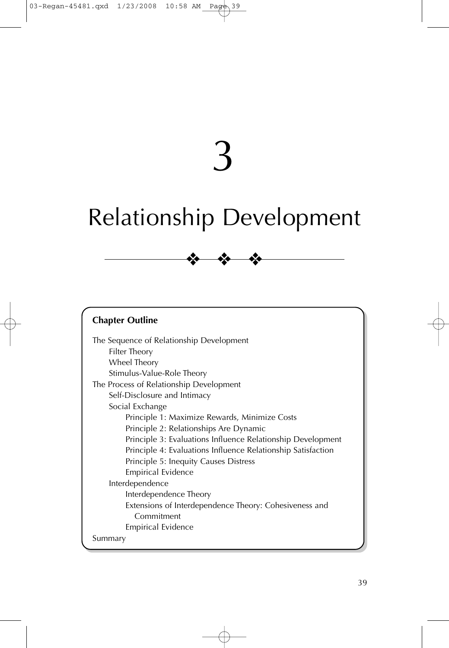# 3

# Relationship Development

❖ ❖ ❖

#### **Chapter Outline**

The Sequence of Relationship Development Filter Theory Wheel Theory Stimulus-Value-Role Theory The Process of Relationship Development Self-Disclosure and Intimacy Social Exchange Principle 1: Maximize Rewards, Minimize Costs Principle 2: Relationships Are Dynamic Principle 3: Evaluations Influence Relationship Development Principle 4: Evaluations Influence Relationship Satisfaction Principle 5: Inequity Causes Distress Empirical Evidence Interdependence Interdependence Theory Extensions of Interdependence Theory: Cohesiveness and Commitment Empirical Evidence Summary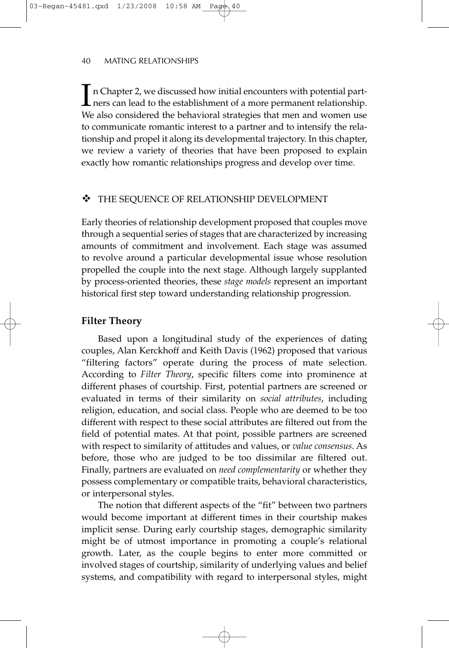$\prod$ n Chapter 2, we discussed how initial encounters with potential part-<br>ners can lead to the establishment of a more permanent relationship. We also considered the behavioral strategies that men and women use to communicate romantic interest to a partner and to intensify the relationship and propel it along its developmental trajectory. In this chapter, we review a variety of theories that have been proposed to explain exactly how romantic relationships progress and develop over time.

#### THE SEQUENCE OF RELATIONSHIP DEVELOPMENT

Early theories of relationship development proposed that couples move through a sequential series of stages that are characterized by increasing amounts of commitment and involvement. Each stage was assumed to revolve around a particular developmental issue whose resolution propelled the couple into the next stage. Although largely supplanted by process-oriented theories, these *stage models* represent an important historical first step toward understanding relationship progression.

### **Filter Theory**

Based upon a longitudinal study of the experiences of dating couples, Alan Kerckhoff and Keith Davis (1962) proposed that various "filtering factors" operate during the process of mate selection. According to *Filter Theory*, specific filters come into prominence at different phases of courtship. First, potential partners are screened or evaluated in terms of their similarity on *social attributes*, including religion, education, and social class. People who are deemed to be too different with respect to these social attributes are filtered out from the field of potential mates. At that point, possible partners are screened with respect to similarity of attitudes and values, or *value consensus*. As before, those who are judged to be too dissimilar are filtered out. Finally, partners are evaluated on *need complementarity* or whether they possess complementary or compatible traits, behavioral characteristics, or interpersonal styles.

The notion that different aspects of the "fit" between two partners would become important at different times in their courtship makes implicit sense. During early courtship stages, demographic similarity might be of utmost importance in promoting a couple's relational growth. Later, as the couple begins to enter more committed or involved stages of courtship, similarity of underlying values and belief systems, and compatibility with regard to interpersonal styles, might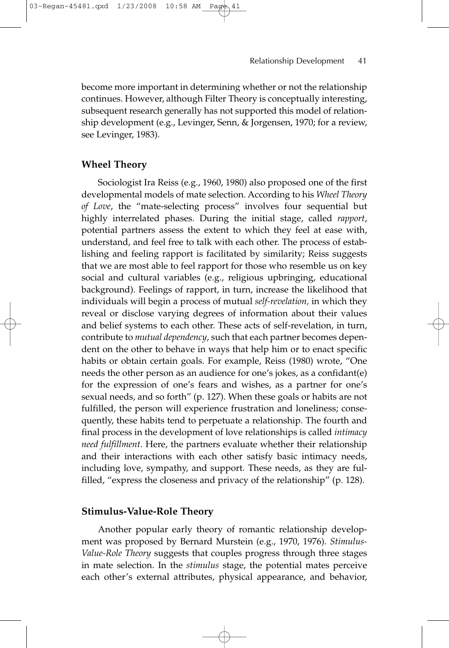become more important in determining whether or not the relationship continues. However, although Filter Theory is conceptually interesting, subsequent research generally has not supported this model of relationship development (e.g., Levinger, Senn, & Jorgensen, 1970; for a review, see Levinger, 1983).

## **Wheel Theory**

Sociologist Ira Reiss (e.g., 1960, 1980) also proposed one of the first developmental models of mate selection. According to his *Wheel Theory of Love*, the "mate-selecting process" involves four sequential but highly interrelated phases. During the initial stage, called *rapport*, potential partners assess the extent to which they feel at ease with, understand, and feel free to talk with each other. The process of establishing and feeling rapport is facilitated by similarity; Reiss suggests that we are most able to feel rapport for those who resemble us on key social and cultural variables (e.g., religious upbringing, educational background). Feelings of rapport, in turn, increase the likelihood that individuals will begin a process of mutual *self-revelation,* in which they reveal or disclose varying degrees of information about their values and belief systems to each other. These acts of self-revelation, in turn, contribute to *mutual dependency*, such that each partner becomes dependent on the other to behave in ways that help him or to enact specific habits or obtain certain goals. For example, Reiss (1980) wrote, "One needs the other person as an audience for one's jokes, as a confidant(e) for the expression of one's fears and wishes, as a partner for one's sexual needs, and so forth" (p. 127). When these goals or habits are not fulfilled, the person will experience frustration and loneliness; consequently, these habits tend to perpetuate a relationship. The fourth and final process in the development of love relationships is called *intimacy need fulfillment*. Here, the partners evaluate whether their relationship and their interactions with each other satisfy basic intimacy needs, including love, sympathy, and support. These needs, as they are fulfilled, "express the closeness and privacy of the relationship" (p. 128).

#### **Stimulus-Value-Role Theory**

Another popular early theory of romantic relationship development was proposed by Bernard Murstein (e.g., 1970, 1976). *Stimulus-Value-Role Theory* suggests that couples progress through three stages in mate selection. In the *stimulus* stage, the potential mates perceive each other's external attributes, physical appearance, and behavior,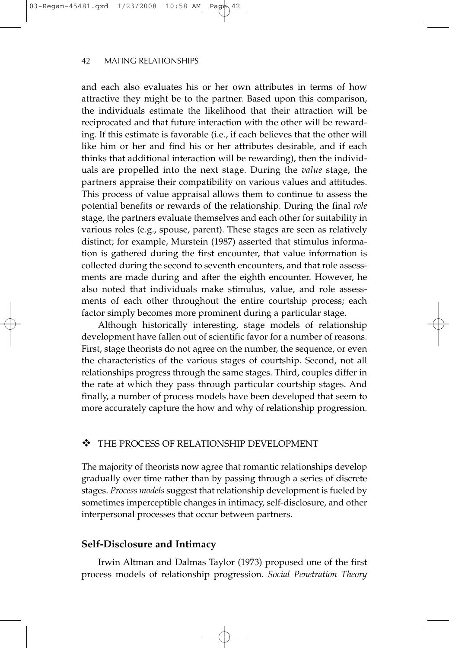and each also evaluates his or her own attributes in terms of how attractive they might be to the partner. Based upon this comparison, the individuals estimate the likelihood that their attraction will be reciprocated and that future interaction with the other will be rewarding. If this estimate is favorable (i.e., if each believes that the other will like him or her and find his or her attributes desirable, and if each thinks that additional interaction will be rewarding), then the individuals are propelled into the next stage. During the *value* stage, the partners appraise their compatibility on various values and attitudes. This process of value appraisal allows them to continue to assess the potential benefits or rewards of the relationship. During the final *role* stage, the partners evaluate themselves and each other for suitability in various roles (e.g., spouse, parent). These stages are seen as relatively distinct; for example, Murstein (1987) asserted that stimulus information is gathered during the first encounter, that value information is collected during the second to seventh encounters, and that role assessments are made during and after the eighth encounter. However, he also noted that individuals make stimulus, value, and role assessments of each other throughout the entire courtship process; each factor simply becomes more prominent during a particular stage.

Although historically interesting, stage models of relationship development have fallen out of scientific favor for a number of reasons. First, stage theorists do not agree on the number, the sequence, or even the characteristics of the various stages of courtship. Second, not all relationships progress through the same stages. Third, couples differ in the rate at which they pass through particular courtship stages. And finally, a number of process models have been developed that seem to more accurately capture the how and why of relationship progression.

#### THE PROCESS OF RELATIONSHIP DEVELOPMENT

The majority of theorists now agree that romantic relationships develop gradually over time rather than by passing through a series of discrete stages. *Process models* suggest that relationship development is fueled by sometimes imperceptible changes in intimacy, self-disclosure, and other interpersonal processes that occur between partners.

#### **Self-Disclosure and Intimacy**

Irwin Altman and Dalmas Taylor (1973) proposed one of the first process models of relationship progression. *Social Penetration Theory*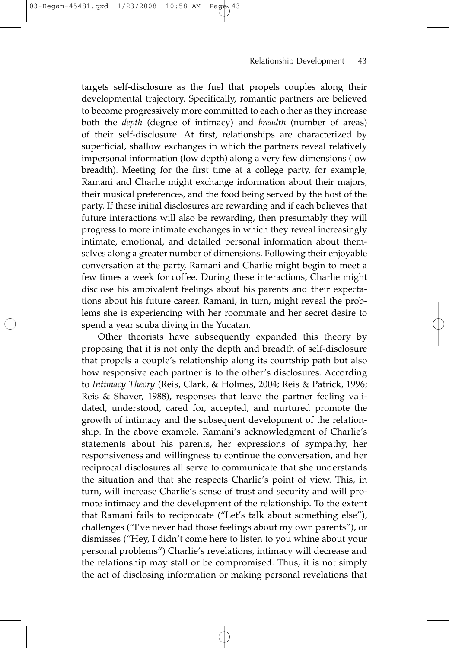#### Relationship Development 43

targets self-disclosure as the fuel that propels couples along their developmental trajectory. Specifically, romantic partners are believed to become progressively more committed to each other as they increase both the *depth* (degree of intimacy) and *breadth* (number of areas) of their self-disclosure. At first, relationships are characterized by superficial, shallow exchanges in which the partners reveal relatively impersonal information (low depth) along a very few dimensions (low breadth). Meeting for the first time at a college party, for example, Ramani and Charlie might exchange information about their majors, their musical preferences, and the food being served by the host of the party. If these initial disclosures are rewarding and if each believes that future interactions will also be rewarding, then presumably they will progress to more intimate exchanges in which they reveal increasingly intimate, emotional, and detailed personal information about themselves along a greater number of dimensions. Following their enjoyable conversation at the party, Ramani and Charlie might begin to meet a few times a week for coffee. During these interactions, Charlie might disclose his ambivalent feelings about his parents and their expectations about his future career. Ramani, in turn, might reveal the problems she is experiencing with her roommate and her secret desire to spend a year scuba diving in the Yucatan.

Other theorists have subsequently expanded this theory by proposing that it is not only the depth and breadth of self-disclosure that propels a couple's relationship along its courtship path but also how responsive each partner is to the other's disclosures. According to *Intimacy Theory* (Reis, Clark, & Holmes, 2004; Reis & Patrick, 1996; Reis & Shaver, 1988), responses that leave the partner feeling validated, understood, cared for, accepted, and nurtured promote the growth of intimacy and the subsequent development of the relationship. In the above example, Ramani's acknowledgment of Charlie's statements about his parents, her expressions of sympathy, her responsiveness and willingness to continue the conversation, and her reciprocal disclosures all serve to communicate that she understands the situation and that she respects Charlie's point of view. This, in turn, will increase Charlie's sense of trust and security and will promote intimacy and the development of the relationship. To the extent that Ramani fails to reciprocate ("Let's talk about something else"), challenges ("I've never had those feelings about my own parents"), or dismisses ("Hey, I didn't come here to listen to you whine about your personal problems") Charlie's revelations, intimacy will decrease and the relationship may stall or be compromised. Thus, it is not simply the act of disclosing information or making personal revelations that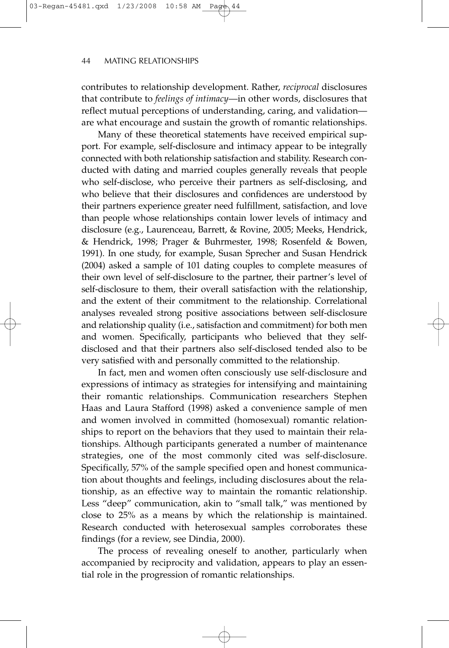contributes to relationship development. Rather, *reciprocal* disclosures that contribute to *feelings of intimacy*—in other words, disclosures that reflect mutual perceptions of understanding, caring, and validation are what encourage and sustain the growth of romantic relationships.

Many of these theoretical statements have received empirical support. For example, self-disclosure and intimacy appear to be integrally connected with both relationship satisfaction and stability. Research conducted with dating and married couples generally reveals that people who self-disclose, who perceive their partners as self-disclosing, and who believe that their disclosures and confidences are understood by their partners experience greater need fulfillment, satisfaction, and love than people whose relationships contain lower levels of intimacy and disclosure (e.g., Laurenceau, Barrett, & Rovine, 2005; Meeks, Hendrick, & Hendrick, 1998; Prager & Buhrmester, 1998; Rosenfeld & Bowen, 1991). In one study, for example, Susan Sprecher and Susan Hendrick (2004) asked a sample of 101 dating couples to complete measures of their own level of self-disclosure to the partner, their partner's level of self-disclosure to them, their overall satisfaction with the relationship, and the extent of their commitment to the relationship. Correlational analyses revealed strong positive associations between self-disclosure and relationship quality (i.e., satisfaction and commitment) for both men and women. Specifically, participants who believed that they selfdisclosed and that their partners also self-disclosed tended also to be very satisfied with and personally committed to the relationship.

In fact, men and women often consciously use self-disclosure and expressions of intimacy as strategies for intensifying and maintaining their romantic relationships. Communication researchers Stephen Haas and Laura Stafford (1998) asked a convenience sample of men and women involved in committed (homosexual) romantic relationships to report on the behaviors that they used to maintain their relationships. Although participants generated a number of maintenance strategies, one of the most commonly cited was self-disclosure. Specifically, 57% of the sample specified open and honest communication about thoughts and feelings, including disclosures about the relationship, as an effective way to maintain the romantic relationship. Less "deep" communication, akin to "small talk," was mentioned by close to 25% as a means by which the relationship is maintained. Research conducted with heterosexual samples corroborates these findings (for a review, see Dindia, 2000).

The process of revealing oneself to another, particularly when accompanied by reciprocity and validation, appears to play an essential role in the progression of romantic relationships.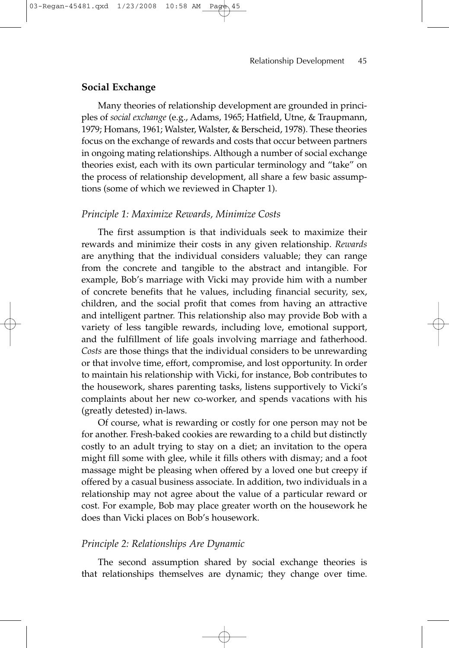#### **Social Exchange**

Many theories of relationship development are grounded in principles of *social exchange* (e.g., Adams, 1965; Hatfield, Utne, & Traupmann, 1979; Homans, 1961; Walster, Walster, & Berscheid, 1978). These theories focus on the exchange of rewards and costs that occur between partners in ongoing mating relationships. Although a number of social exchange theories exist, each with its own particular terminology and "take" on the process of relationship development, all share a few basic assumptions (some of which we reviewed in Chapter 1).

#### *Principle 1: Maximize Rewards, Minimize Costs*

The first assumption is that individuals seek to maximize their rewards and minimize their costs in any given relationship. *Rewards* are anything that the individual considers valuable; they can range from the concrete and tangible to the abstract and intangible. For example, Bob's marriage with Vicki may provide him with a number of concrete benefits that he values, including financial security, sex, children, and the social profit that comes from having an attractive and intelligent partner. This relationship also may provide Bob with a variety of less tangible rewards, including love, emotional support, and the fulfillment of life goals involving marriage and fatherhood. *Costs* are those things that the individual considers to be unrewarding or that involve time, effort, compromise, and lost opportunity. In order to maintain his relationship with Vicki, for instance, Bob contributes to the housework, shares parenting tasks, listens supportively to Vicki's complaints about her new co-worker, and spends vacations with his (greatly detested) in-laws.

Of course, what is rewarding or costly for one person may not be for another. Fresh-baked cookies are rewarding to a child but distinctly costly to an adult trying to stay on a diet; an invitation to the opera might fill some with glee, while it fills others with dismay; and a foot massage might be pleasing when offered by a loved one but creepy if offered by a casual business associate. In addition, two individuals in a relationship may not agree about the value of a particular reward or cost. For example, Bob may place greater worth on the housework he does than Vicki places on Bob's housework.

#### *Principle 2: Relationships Are Dynamic*

The second assumption shared by social exchange theories is that relationships themselves are dynamic; they change over time.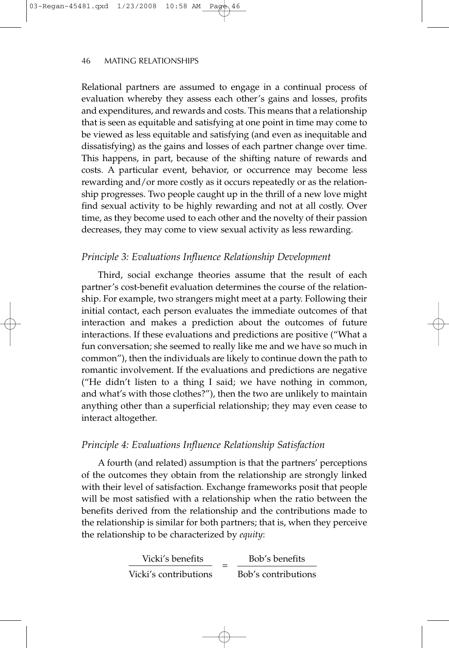Relational partners are assumed to engage in a continual process of evaluation whereby they assess each other's gains and losses, profits and expenditures, and rewards and costs. This means that a relationship that is seen as equitable and satisfying at one point in time may come to be viewed as less equitable and satisfying (and even as inequitable and dissatisfying) as the gains and losses of each partner change over time. This happens, in part, because of the shifting nature of rewards and costs. A particular event, behavior, or occurrence may become less rewarding and/or more costly as it occurs repeatedly or as the relationship progresses. Two people caught up in the thrill of a new love might find sexual activity to be highly rewarding and not at all costly. Over time, as they become used to each other and the novelty of their passion decreases, they may come to view sexual activity as less rewarding.

#### *Principle 3: Evaluations Influence Relationship Development*

Third, social exchange theories assume that the result of each partner's cost-benefit evaluation determines the course of the relationship. For example, two strangers might meet at a party. Following their initial contact, each person evaluates the immediate outcomes of that interaction and makes a prediction about the outcomes of future interactions. If these evaluations and predictions are positive ("What a fun conversation; she seemed to really like me and we have so much in common"), then the individuals are likely to continue down the path to romantic involvement. If the evaluations and predictions are negative ("He didn't listen to a thing I said; we have nothing in common, and what's with those clothes?"), then the two are unlikely to maintain anything other than a superficial relationship; they may even cease to interact altogether.

#### *Principle 4: Evaluations Influence Relationship Satisfaction*

A fourth (and related) assumption is that the partners' perceptions of the outcomes they obtain from the relationship are strongly linked with their level of satisfaction. Exchange frameworks posit that people will be most satisfied with a relationship when the ratio between the benefits derived from the relationship and the contributions made to the relationship is similar for both partners; that is, when they perceive the relationship to be characterized by *equity*:

| Vicki's benefits      | Bob's benefits      |
|-----------------------|---------------------|
| Vicki's contributions | Bob's contributions |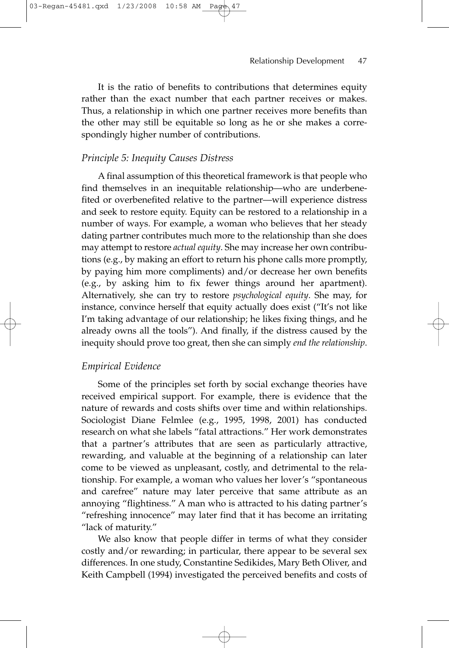It is the ratio of benefits to contributions that determines equity rather than the exact number that each partner receives or makes. Thus, a relationship in which one partner receives more benefits than the other may still be equitable so long as he or she makes a correspondingly higher number of contributions.

# *Principle 5: Inequity Causes Distress*

A final assumption of this theoretical framework is that people who find themselves in an inequitable relationship—who are underbenefited or overbenefited relative to the partner—will experience distress and seek to restore equity. Equity can be restored to a relationship in a number of ways. For example, a woman who believes that her steady dating partner contributes much more to the relationship than she does may attempt to restore *actual equity*. She may increase her own contributions (e.g., by making an effort to return his phone calls more promptly, by paying him more compliments) and/or decrease her own benefits (e.g., by asking him to fix fewer things around her apartment). Alternatively, she can try to restore *psychological equity*. She may, for instance, convince herself that equity actually does exist ("It's not like I'm taking advantage of our relationship; he likes fixing things, and he already owns all the tools"). And finally, if the distress caused by the inequity should prove too great, then she can simply *end the relationship*.

#### *Empirical Evidence*

Some of the principles set forth by social exchange theories have received empirical support. For example, there is evidence that the nature of rewards and costs shifts over time and within relationships. Sociologist Diane Felmlee (e.g., 1995, 1998, 2001) has conducted research on what she labels "fatal attractions." Her work demonstrates that a partner's attributes that are seen as particularly attractive, rewarding, and valuable at the beginning of a relationship can later come to be viewed as unpleasant, costly, and detrimental to the relationship. For example, a woman who values her lover's "spontaneous and carefree" nature may later perceive that same attribute as an annoying "flightiness." A man who is attracted to his dating partner's "refreshing innocence" may later find that it has become an irritating "lack of maturity."

We also know that people differ in terms of what they consider costly and/or rewarding; in particular, there appear to be several sex differences. In one study, Constantine Sedikides, Mary Beth Oliver, and Keith Campbell (1994) investigated the perceived benefits and costs of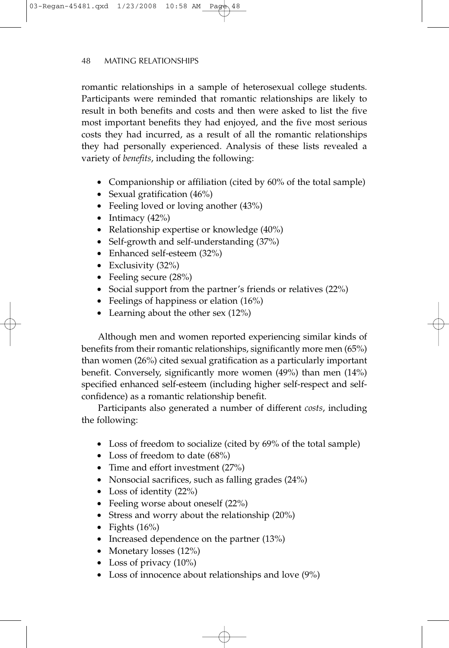romantic relationships in a sample of heterosexual college students. Participants were reminded that romantic relationships are likely to result in both benefits and costs and then were asked to list the five most important benefits they had enjoyed, and the five most serious costs they had incurred, as a result of all the romantic relationships they had personally experienced. Analysis of these lists revealed a variety of *benefits*, including the following:

- Companionship or affiliation (cited by 60% of the total sample)
- Sexual gratification (46%)
- Feeling loved or loving another (43%)
- Intimacy (42%)
- Relationship expertise or knowledge (40%)
- Self-growth and self-understanding (37%)
- Enhanced self-esteem (32%)
- Exclusivity (32%)
- Feeling secure (28%)
- Social support from the partner's friends or relatives (22%)
- Feelings of happiness or elation (16%)
- Learning about the other sex (12%)

Although men and women reported experiencing similar kinds of benefits from their romantic relationships, significantly more men (65%) than women (26%) cited sexual gratification as a particularly important benefit. Conversely, significantly more women (49%) than men (14%) specified enhanced self-esteem (including higher self-respect and selfconfidence) as a romantic relationship benefit.

Participants also generated a number of different *costs*, including the following:

- Loss of freedom to socialize (cited by 69% of the total sample)
- Loss of freedom to date (68%)
- Time and effort investment (27%)
- Nonsocial sacrifices, such as falling grades (24%)
- Loss of identity (22%)
- Feeling worse about oneself (22%)
- Stress and worry about the relationship (20%)
- Fights  $(16\%)$
- Increased dependence on the partner (13%)
- Monetary losses (12%)
- Loss of privacy (10%)
- Loss of innocence about relationships and love (9%)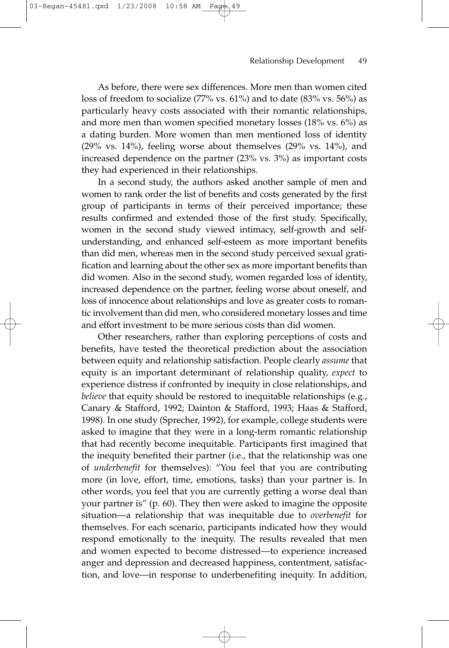As before, there were sex differences. More men than women cited loss of freedom to socialize (77% vs. 61%) and to date (83% vs. 56%) as particularly heavy costs associated with their romantic relationships, and more men than women specified monetary losses (18% vs. 6%) as a dating burden. More women than men mentioned loss of identity (29% vs. 14%), feeling worse about themselves (29% vs. 14%), and increased dependence on the partner (23% vs. 3%) as important costs they had experienced in their relationships.

In a second study, the authors asked another sample of men and women to rank order the list of benefits and costs generated by the first group of participants in terms of their perceived importance; these results confirmed and extended those of the first study. Specifically, women in the second study viewed intimacy, self-growth and selfunderstanding, and enhanced self-esteem as more important benefits than did men, whereas men in the second study perceived sexual gratification and learning about the other sex as more important benefits than did women. Also in the second study, women regarded loss of identity, increased dependence on the partner, feeling worse about oneself, and loss of innocence about relationships and love as greater costs to romantic involvement than did men, who considered monetary losses and time and effort investment to be more serious costs than did women.

Other researchers, rather than exploring perceptions of costs and benefits, have tested the theoretical prediction about the association between equity and relationship satisfaction. People clearly *assume* that equity is an important determinant of relationship quality, *expect* to experience distress if confronted by inequity in close relationships, and *believe* that equity should be restored to inequitable relationships (e.g., Canary & Stafford, 1992; Dainton & Stafford, 1993; Haas & Stafford, 1998). In one study (Sprecher, 1992), for example, college students were asked to imagine that they were in a long-term romantic relationship that had recently become inequitable. Participants first imagined that the inequity benefited their partner (i.e., that the relationship was one of *underbenefit* for themselves): "You feel that you are contributing more (in love, effort, time, emotions, tasks) than your partner is. In other words, you feel that you are currently getting a worse deal than your partner is" (p. 60). They then were asked to imagine the opposite situation—a relationship that was inequitable due to *overbenefit* for themselves. For each scenario, participants indicated how they would respond emotionally to the inequity. The results revealed that men and women expected to become distressed—to experience increased anger and depression and decreased happiness, contentment, satisfaction, and love—in response to underbenefiting inequity. In addition,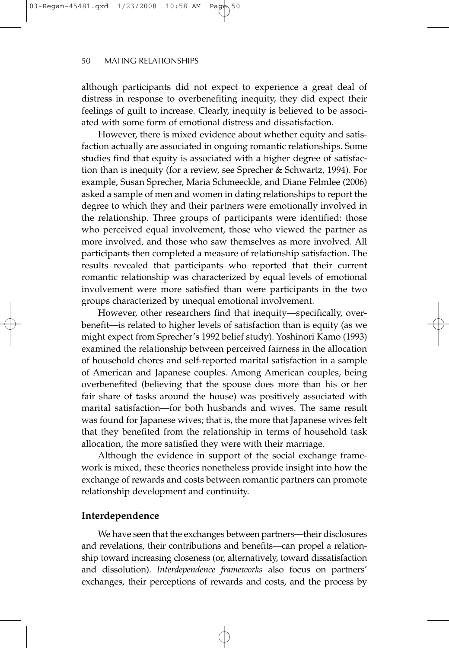although participants did not expect to experience a great deal of distress in response to overbenefiting inequity, they did expect their feelings of guilt to increase. Clearly, inequity is believed to be associated with some form of emotional distress and dissatisfaction.

However, there is mixed evidence about whether equity and satisfaction actually are associated in ongoing romantic relationships. Some studies find that equity is associated with a higher degree of satisfaction than is inequity (for a review, see Sprecher & Schwartz, 1994). For example, Susan Sprecher, Maria Schmeeckle, and Diane Felmlee (2006) asked a sample of men and women in dating relationships to report the degree to which they and their partners were emotionally involved in the relationship. Three groups of participants were identified: those who perceived equal involvement, those who viewed the partner as more involved, and those who saw themselves as more involved. All participants then completed a measure of relationship satisfaction. The results revealed that participants who reported that their current romantic relationship was characterized by equal levels of emotional involvement were more satisfied than were participants in the two groups characterized by unequal emotional involvement.

However, other researchers find that inequity—specifically, overbenefit—is related to higher levels of satisfaction than is equity (as we might expect from Sprecher's 1992 belief study). Yoshinori Kamo (1993) examined the relationship between perceived fairness in the allocation of household chores and self-reported marital satisfaction in a sample of American and Japanese couples. Among American couples, being overbenefited (believing that the spouse does more than his or her fair share of tasks around the house) was positively associated with marital satisfaction—for both husbands and wives. The same result was found for Japanese wives; that is, the more that Japanese wives felt that they benefited from the relationship in terms of household task allocation, the more satisfied they were with their marriage.

Although the evidence in support of the social exchange framework is mixed, these theories nonetheless provide insight into how the exchange of rewards and costs between romantic partners can promote relationship development and continuity.

# **Interdependence**

We have seen that the exchanges between partners—their disclosures and revelations, their contributions and benefits—can propel a relationship toward increasing closeness (or, alternatively, toward dissatisfaction and dissolution). *Interdependence frameworks* also focus on partners' exchanges, their perceptions of rewards and costs, and the process by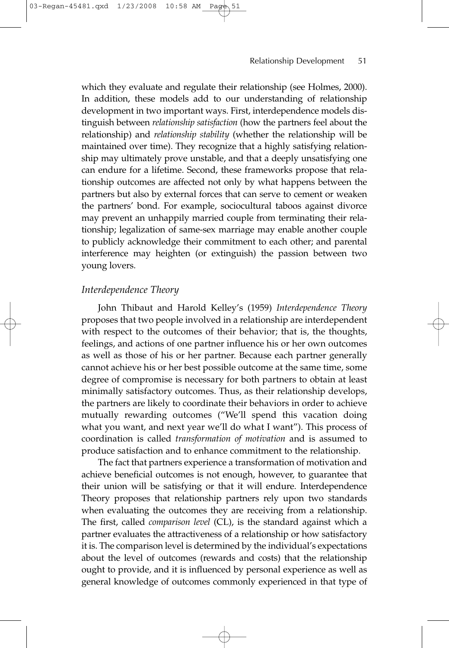#### Relationship Development 51

which they evaluate and regulate their relationship (see Holmes, 2000). In addition, these models add to our understanding of relationship development in two important ways. First, interdependence models distinguish between *relationship satisfaction* (how the partners feel about the relationship) and *relationship stability* (whether the relationship will be maintained over time). They recognize that a highly satisfying relationship may ultimately prove unstable, and that a deeply unsatisfying one can endure for a lifetime. Second, these frameworks propose that relationship outcomes are affected not only by what happens between the partners but also by external forces that can serve to cement or weaken the partners' bond. For example, sociocultural taboos against divorce may prevent an unhappily married couple from terminating their relationship; legalization of same-sex marriage may enable another couple to publicly acknowledge their commitment to each other; and parental interference may heighten (or extinguish) the passion between two young lovers.

## *Interdependence Theory*

03-Regan-45481.qxd 1/23/2008

John Thibaut and Harold Kelley's (1959) *Interdependence Theory* proposes that two people involved in a relationship are interdependent with respect to the outcomes of their behavior; that is, the thoughts, feelings, and actions of one partner influence his or her own outcomes as well as those of his or her partner. Because each partner generally cannot achieve his or her best possible outcome at the same time, some degree of compromise is necessary for both partners to obtain at least minimally satisfactory outcomes. Thus, as their relationship develops, the partners are likely to coordinate their behaviors in order to achieve mutually rewarding outcomes ("We'll spend this vacation doing what you want, and next year we'll do what I want"). This process of coordination is called *transformation of motivation* and is assumed to produce satisfaction and to enhance commitment to the relationship.

The fact that partners experience a transformation of motivation and achieve beneficial outcomes is not enough, however, to guarantee that their union will be satisfying or that it will endure. Interdependence Theory proposes that relationship partners rely upon two standards when evaluating the outcomes they are receiving from a relationship. The first, called *comparison level* (CL), is the standard against which a partner evaluates the attractiveness of a relationship or how satisfactory it is. The comparison level is determined by the individual's expectations about the level of outcomes (rewards and costs) that the relationship ought to provide, and it is influenced by personal experience as well as general knowledge of outcomes commonly experienced in that type of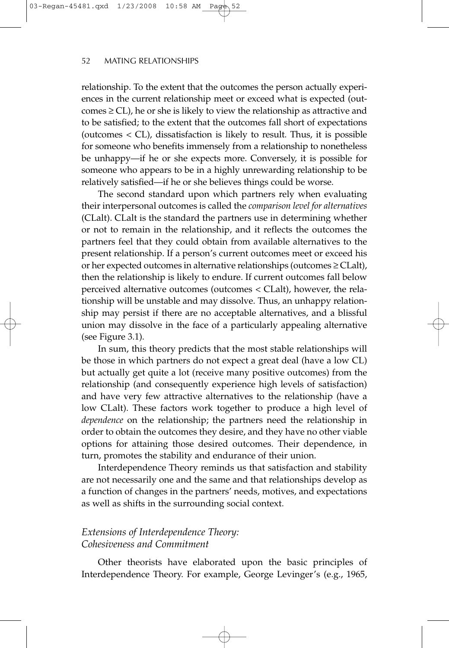relationship. To the extent that the outcomes the person actually experiences in the current relationship meet or exceed what is expected (outcomes  $\geq$  CL), he or she is likely to view the relationship as attractive and to be satisfied; to the extent that the outcomes fall short of expectations (outcomes  $\langle$  CL), dissatisfaction is likely to result. Thus, it is possible for someone who benefits immensely from a relationship to nonetheless be unhappy—if he or she expects more. Conversely, it is possible for someone who appears to be in a highly unrewarding relationship to be relatively satisfied—if he or she believes things could be worse.

The second standard upon which partners rely when evaluating their interpersonal outcomes is called the *comparison level for alternatives* (CLalt). CLalt is the standard the partners use in determining whether or not to remain in the relationship, and it reflects the outcomes the partners feel that they could obtain from available alternatives to the present relationship. If a person's current outcomes meet or exceed his or her expected outcomes in alternative relationships (outcomes ≥ CLalt), then the relationship is likely to endure. If current outcomes fall below perceived alternative outcomes (outcomes < CLalt), however, the relationship will be unstable and may dissolve. Thus, an unhappy relationship may persist if there are no acceptable alternatives, and a blissful union may dissolve in the face of a particularly appealing alternative (see Figure 3.1).

In sum, this theory predicts that the most stable relationships will be those in which partners do not expect a great deal (have a low CL) but actually get quite a lot (receive many positive outcomes) from the relationship (and consequently experience high levels of satisfaction) and have very few attractive alternatives to the relationship (have a low CLalt). These factors work together to produce a high level of *dependence* on the relationship; the partners need the relationship in order to obtain the outcomes they desire, and they have no other viable options for attaining those desired outcomes. Their dependence, in turn, promotes the stability and endurance of their union.

Interdependence Theory reminds us that satisfaction and stability are not necessarily one and the same and that relationships develop as a function of changes in the partners' needs, motives, and expectations as well as shifts in the surrounding social context.

# *Extensions of Interdependence Theory: Cohesiveness and Commitment*

Other theorists have elaborated upon the basic principles of Interdependence Theory. For example, George Levinger's (e.g., 1965,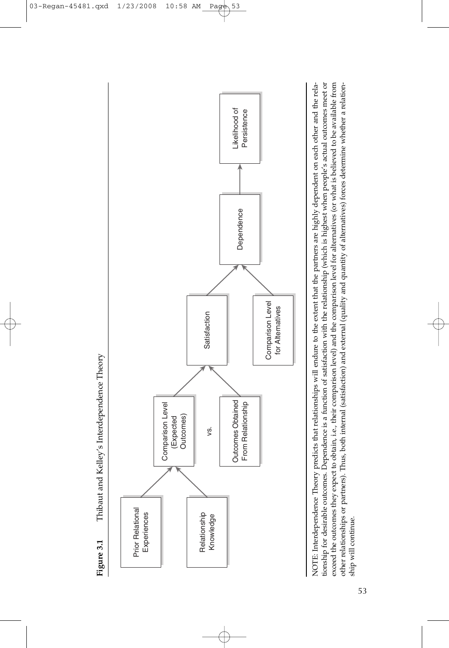



 $\overline{\bigoplus}$ 

tionship for desirable outcomes. Dependence is a function of satisfaction with the relationship (which is highest when people's actual outcomes meet or NOTE: Interdependence Theory predicts that relationships will endure to the extent that the partners are highly dependent on each other and the relaexceed the outcomes they expect to obtain, i.e., their comparison level) and the comparison level for alternatives (or what is believed to be available from other relationships or partners). Thus, both internal (satisfaction) and external (quality and quantity of alternatives) forces determine whether a relation-NOTE: Interdependence Theory predicts that relationships will endure to the extent that the partners are highly dependent on each other and the relationship for desirable outcomes. Dependence is a function of satisfaction with the relationship (which is highest when people's actual outcomes meet or exceed the outcomes they expect to obtain, i.e., their comparison level) and the comparison level for alternatives (or what is believed to be available from other relationships or partners). Thus, both internal (satisfaction) and external (quality and quantity of alternatives) forces determine whether a relationship will continue. ship will continue.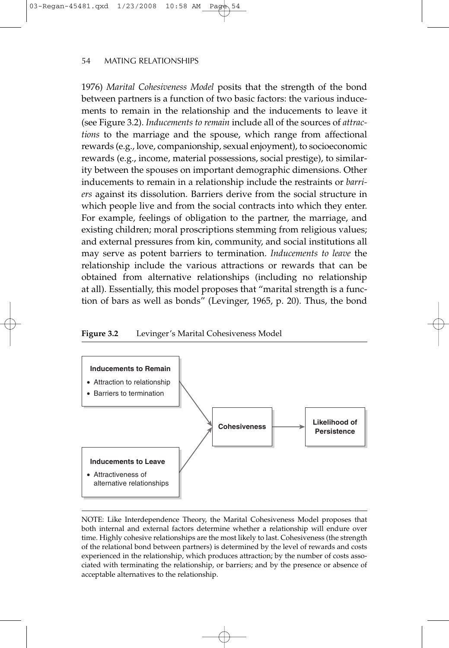1976) *Marital Cohesiveness Model* posits that the strength of the bond between partners is a function of two basic factors: the various inducements to remain in the relationship and the inducements to leave it (see Figure 3.2). *Inducements to remain* include all of the sources of *attractions* to the marriage and the spouse, which range from affectional rewards (e.g., love, companionship, sexual enjoyment), to socioeconomic rewards (e.g., income, material possessions, social prestige), to similarity between the spouses on important demographic dimensions. Other inducements to remain in a relationship include the restraints or *barriers* against its dissolution. Barriers derive from the social structure in which people live and from the social contracts into which they enter. For example, feelings of obligation to the partner, the marriage, and existing children; moral proscriptions stemming from religious values; and external pressures from kin, community, and social institutions all may serve as potent barriers to termination. *Inducements to leave* the relationship include the various attractions or rewards that can be obtained from alternative relationships (including no relationship at all). Essentially, this model proposes that "marital strength is a function of bars as well as bonds" (Levinger, 1965, p. 20). Thus, the bond

#### **Figure 3.2** Levinger's Marital Cohesiveness Model



NOTE: Like Interdependence Theory, the Marital Cohesiveness Model proposes that both internal and external factors determine whether a relationship will endure over time. Highly cohesive relationships are the most likely to last. Cohesiveness (the strength of the relational bond between partners) is determined by the level of rewards and costs experienced in the relationship, which produces attraction; by the number of costs associated with terminating the relationship, or barriers; and by the presence or absence of acceptable alternatives to the relationship.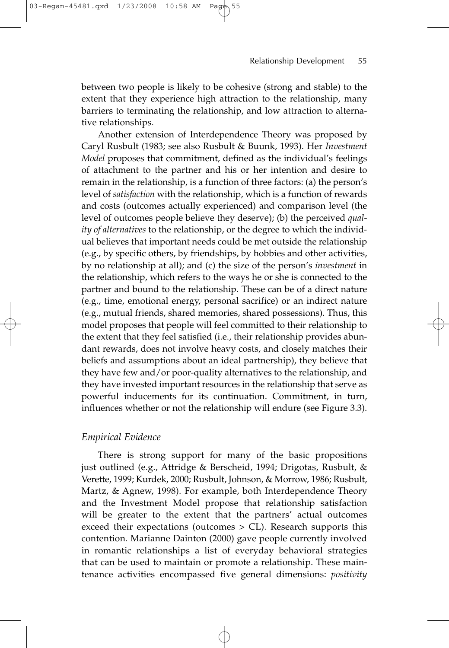between two people is likely to be cohesive (strong and stable) to the extent that they experience high attraction to the relationship, many barriers to terminating the relationship, and low attraction to alternative relationships.

Another extension of Interdependence Theory was proposed by Caryl Rusbult (1983; see also Rusbult & Buunk, 1993). Her *Investment Model* proposes that commitment, defined as the individual's feelings of attachment to the partner and his or her intention and desire to remain in the relationship, is a function of three factors: (a) the person's level of *satisfaction* with the relationship, which is a function of rewards and costs (outcomes actually experienced) and comparison level (the level of outcomes people believe they deserve); (b) the perceived *quality of alternatives* to the relationship, or the degree to which the individual believes that important needs could be met outside the relationship (e.g., by specific others, by friendships, by hobbies and other activities, by no relationship at all); and (c) the size of the person's *investment* in the relationship, which refers to the ways he or she is connected to the partner and bound to the relationship. These can be of a direct nature (e.g., time, emotional energy, personal sacrifice) or an indirect nature (e.g., mutual friends, shared memories, shared possessions). Thus, this model proposes that people will feel committed to their relationship to the extent that they feel satisfied (i.e., their relationship provides abundant rewards, does not involve heavy costs, and closely matches their beliefs and assumptions about an ideal partnership), they believe that they have few and/or poor-quality alternatives to the relationship, and they have invested important resources in the relationship that serve as powerful inducements for its continuation. Commitment, in turn, influences whether or not the relationship will endure (see Figure 3.3).

#### *Empirical Evidence*

There is strong support for many of the basic propositions just outlined (e.g., Attridge & Berscheid, 1994; Drigotas, Rusbult, & Verette, 1999; Kurdek, 2000; Rusbult, Johnson, & Morrow, 1986; Rusbult, Martz, & Agnew, 1998). For example, both Interdependence Theory and the Investment Model propose that relationship satisfaction will be greater to the extent that the partners' actual outcomes exceed their expectations (outcomes > CL). Research supports this contention. Marianne Dainton (2000) gave people currently involved in romantic relationships a list of everyday behavioral strategies that can be used to maintain or promote a relationship. These maintenance activities encompassed five general dimensions: *positivity*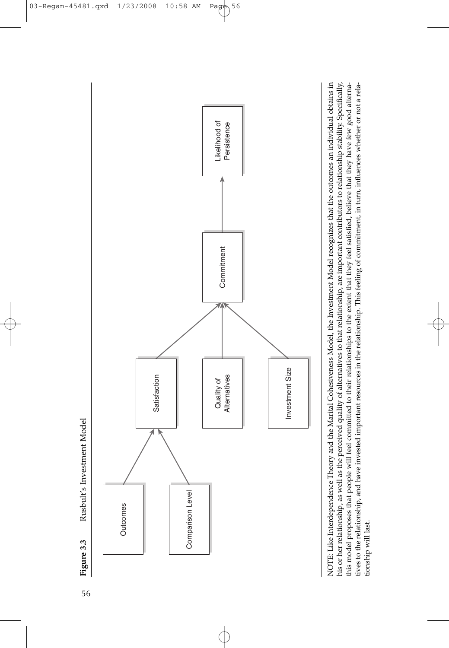



 $\overline{\bigoplus}$ 

NOTE: Like Interdependence Theory and the Marital Cohesiveness Model, the Investment Model recognizes that the outcomes an individual obtains in his or her relationship, as well as the perceived quality of alternatives to that relationship, are important contributors to relationship stability. Specifically, this model proposes that people will feel committed to their relationships to the extent that they feel satisfied, believe that they have few good alternatives to the relationship, and have invested important resources in the relationship. This feeling of commitment, in turn, influences whether or not a rela-NOTE: Like Interdependence Theory and the Marital Cohesiveness Model, the Investment Model recognizes that the outcomes an individual obtains in his or her relationship, as well as the perceived quality of alternatives to that relationship, are important contributors to relationship stability. Specifically, this model proposes that people will feel committed to their relationships to the extent that they feel satisfied, believe that they have few good alternatives to the relationship, and have invested important resources in the relationship. This feeling of commitment, in turn, influences whether or not a relationship will last. tionship will last.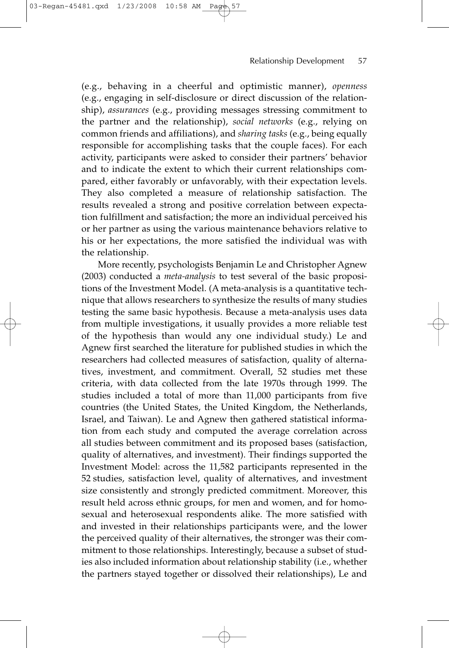#### Relationship Development 57

(e.g., behaving in a cheerful and optimistic manner), *openness* (e.g., engaging in self-disclosure or direct discussion of the relationship), *assurances* (e.g., providing messages stressing commitment to the partner and the relationship), *social networks* (e.g., relying on common friends and affiliations), and *sharing tasks* (e.g., being equally responsible for accomplishing tasks that the couple faces). For each activity, participants were asked to consider their partners' behavior and to indicate the extent to which their current relationships compared, either favorably or unfavorably, with their expectation levels. They also completed a measure of relationship satisfaction. The results revealed a strong and positive correlation between expectation fulfillment and satisfaction; the more an individual perceived his or her partner as using the various maintenance behaviors relative to his or her expectations, the more satisfied the individual was with the relationship.

More recently, psychologists Benjamin Le and Christopher Agnew (2003) conducted a *meta-analysis* to test several of the basic propositions of the Investment Model. (A meta-analysis is a quantitative technique that allows researchers to synthesize the results of many studies testing the same basic hypothesis. Because a meta-analysis uses data from multiple investigations, it usually provides a more reliable test of the hypothesis than would any one individual study.) Le and Agnew first searched the literature for published studies in which the researchers had collected measures of satisfaction, quality of alternatives, investment, and commitment. Overall, 52 studies met these criteria, with data collected from the late 1970s through 1999. The studies included a total of more than 11,000 participants from five countries (the United States, the United Kingdom, the Netherlands, Israel, and Taiwan). Le and Agnew then gathered statistical information from each study and computed the average correlation across all studies between commitment and its proposed bases (satisfaction, quality of alternatives, and investment). Their findings supported the Investment Model: across the 11,582 participants represented in the 52 studies, satisfaction level, quality of alternatives, and investment size consistently and strongly predicted commitment. Moreover, this result held across ethnic groups, for men and women, and for homosexual and heterosexual respondents alike. The more satisfied with and invested in their relationships participants were, and the lower the perceived quality of their alternatives, the stronger was their commitment to those relationships. Interestingly, because a subset of studies also included information about relationship stability (i.e., whether the partners stayed together or dissolved their relationships), Le and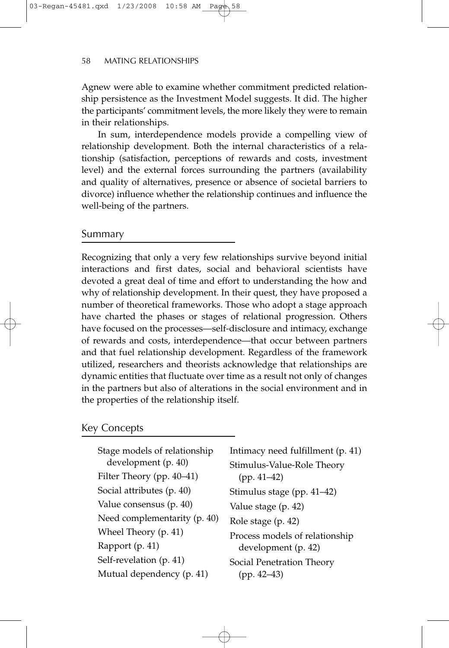Agnew were able to examine whether commitment predicted relationship persistence as the Investment Model suggests. It did. The higher the participants' commitment levels, the more likely they were to remain in their relationships.

In sum, interdependence models provide a compelling view of relationship development. Both the internal characteristics of a relationship (satisfaction, perceptions of rewards and costs, investment level) and the external forces surrounding the partners (availability and quality of alternatives, presence or absence of societal barriers to divorce) influence whether the relationship continues and influence the well-being of the partners.

#### Summary

Recognizing that only a very few relationships survive beyond initial interactions and first dates, social and behavioral scientists have devoted a great deal of time and effort to understanding the how and why of relationship development. In their quest, they have proposed a number of theoretical frameworks. Those who adopt a stage approach have charted the phases or stages of relational progression. Others have focused on the processes—self-disclosure and intimacy, exchange of rewards and costs, interdependence—that occur between partners and that fuel relationship development. Regardless of the framework utilized, researchers and theorists acknowledge that relationships are dynamic entities that fluctuate over time as a result not only of changes in the partners but also of alterations in the social environment and in the properties of the relationship itself.

#### Key Concepts

| Stage models of relationship | Intimacy need fulfillment (p. 41) |  |
|------------------------------|-----------------------------------|--|
| development (p. 40)          | Stimulus-Value-Role Theory        |  |
| Filter Theory (pp. 40–41)    | $(pp. 41-42)$                     |  |
| Social attributes (p. 40)    | Stimulus stage (pp. 41–42)        |  |
| Value consensus (p. 40)      | Value stage (p. 42)               |  |
| Need complementarity (p. 40) | Role stage (p. 42)                |  |
| Wheel Theory (p. 41)         | Process models of relationship    |  |
| Rapport (p. 41)              | development (p. 42)               |  |
| Self-revelation (p. 41)      | Social Penetration Theory         |  |
| Mutual dependency (p. 41)    | $(pp. 42-43)$                     |  |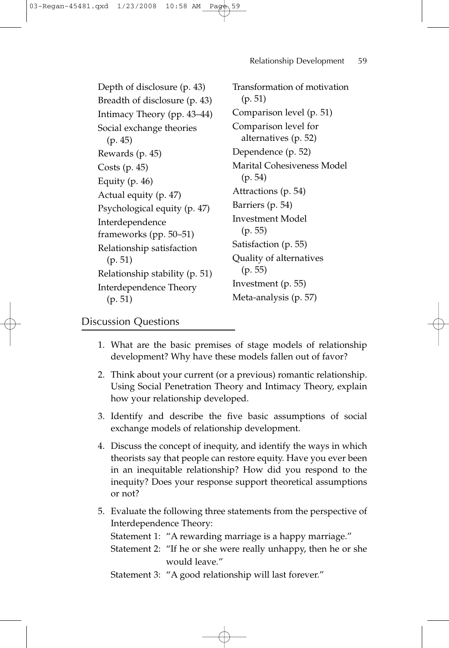#### Relationship Development 59

Depth of disclosure (p. 43) Breadth of disclosure (p. 43) Intimacy Theory (pp. 43–44) Social exchange theories (p. 45) Rewards (p. 45) Costs (p. 45) Equity (p. 46) Actual equity (p. 47) Psychological equity (p. 47) Interdependence frameworks (pp. 50–51) Relationship satisfaction (p. 51) Relationship stability (p. 51) Interdependence Theory (p. 51)

Transformation of motivation (p. 51) Comparison level (p. 51) Comparison level for alternatives (p. 52) Dependence (p. 52) Marital Cohesiveness Model (p. 54) Attractions (p. 54) Barriers (p. 54) Investment Model (p. 55) Satisfaction (p. 55) Quality of alternatives (p. 55) Investment (p. 55) Meta-analysis (p. 57)

# Discussion Questions

- 1. What are the basic premises of stage models of relationship development? Why have these models fallen out of favor?
- 2. Think about your current (or a previous) romantic relationship. Using Social Penetration Theory and Intimacy Theory, explain how your relationship developed.
- 3. Identify and describe the five basic assumptions of social exchange models of relationship development.
- 4. Discuss the concept of inequity, and identify the ways in which theorists say that people can restore equity. Have you ever been in an inequitable relationship? How did you respond to the inequity? Does your response support theoretical assumptions or not?
- 5. Evaluate the following three statements from the perspective of Interdependence Theory: Statement 1: "A rewarding marriage is a happy marriage." Statement 2: "If he or she were really unhappy, then he or she would leave."

Statement 3: "A good relationship will last forever."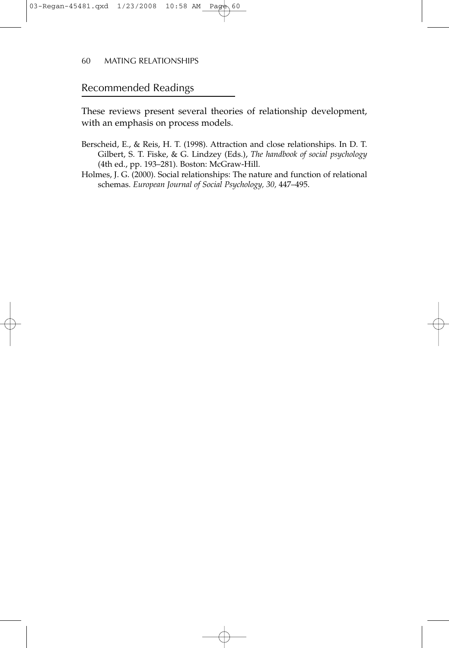# Recommended Readings

These reviews present several theories of relationship development, with an emphasis on process models.

- Berscheid, E., & Reis, H. T. (1998). Attraction and close relationships. In D. T. Gilbert, S. T. Fiske, & G. Lindzey (Eds.), *The handbook of social psychology* (4th ed., pp. 193–281). Boston: McGraw-Hill.
- Holmes, J. G. (2000). Social relationships: The nature and function of relational schemas. *European Journal of Social Psychology, 30,* 447–495.